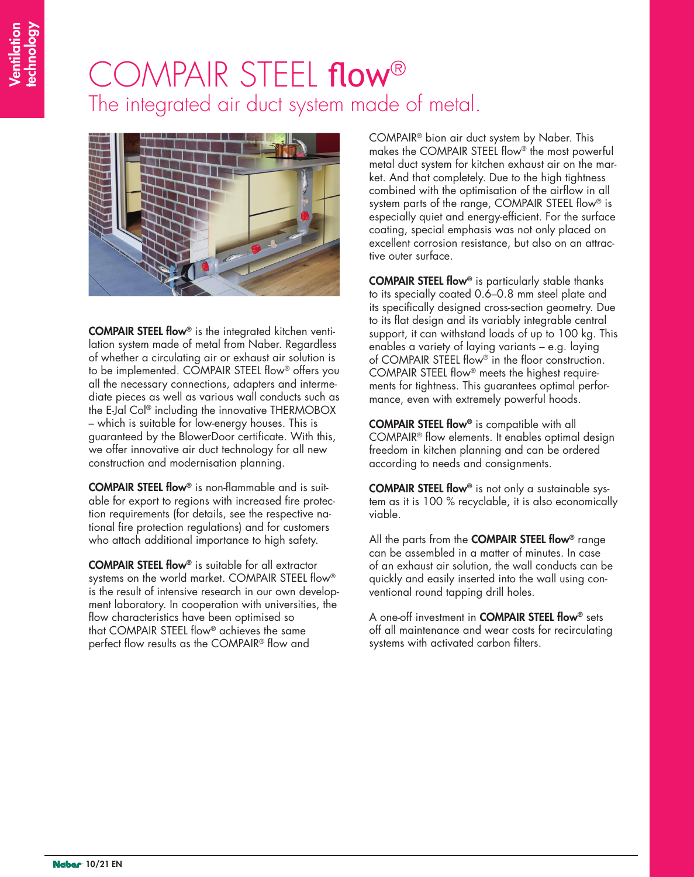## COMPAIR STEEL flow® The integrated air duct system made of metal.



COMPAIR STEEL flow® is the integrated kitchen ventilation system made of metal from Naber. Regardless of whether a circulating air or exhaust air solution is to be implemented. COMPAIR STEEL flow® offers you all the necessary connections, adapters and intermediate pieces as well as various wall conducts such as the E-Jal Col® including the innovative THERMOBOX – which is suitable for low-energy houses. This is guaranteed by the BlowerDoor certificate. With this, we offer innovative air duct technology for all new construction and modernisation planning.

COMPAIR STEEL flow® is non-flammable and is suitable for export to regions with increased fire protection requirements (for details, see the respective national fire protection regulations) and for customers who attach additional importance to high safety.

COMPAIR STEEL flow® is suitable for all extractor systems on the world market. COMPAIR STEEL flow® is the result of intensive research in our own development laboratory. In cooperation with universities, the flow characteristics have been optimised so that COMPAIR STEEL flow® achieves the same perfect flow results as the COMPAIR® flow and

COMPAIR® bion air duct system by Naber. This makes the COMPAIR STEEL flow® the most powerful metal duct system for kitchen exhaust air on the market. And that completely. Due to the high tightness combined with the optimisation of the airflow in all system parts of the range, COMPAIR STEEL flow® is especially quiet and energy-efficient. For the surface coating, special emphasis was not only placed on excellent corrosion resistance, but also on an attractive outer surface.

COMPAIR STEEL flow® is particularly stable thanks to its specially coated 0.6–0.8 mm steel plate and its specifically designed cross-section geometry. Due to its flat design and its variably integrable central support, it can withstand loads of up to 100 kg. This enables a variety of laying variants – e.g. laying of COMPAIR STEEL flow® in the floor construction. COMPAIR STEEL flow® meets the highest requirements for tightness. This guarantees optimal performance, even with extremely powerful hoods.

COMPAIR STEEL flow® is compatible with all COMPAIR® flow elements. It enables optimal design freedom in kitchen planning and can be ordered according to needs and consignments.

COMPAIR STEEL flow® is not only a sustainable system as it is 100 % recyclable, it is also economically viable.

All the parts from the **COMPAIR STEEL flow**® range can be assembled in a matter of minutes. In case of an exhaust air solution, the wall conducts can be quickly and easily inserted into the wall using conventional round tapping drill holes.

A one-off investment in COMPAIR STEEL flow® sets off all maintenance and wear costs for recirculating systems with activated carbon filters.